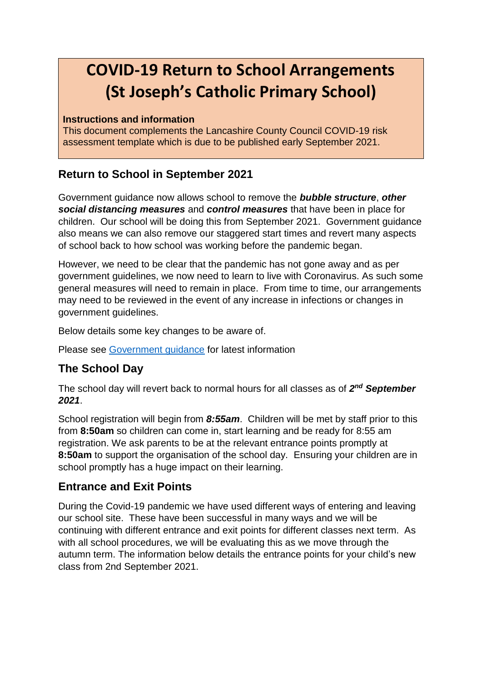# **COVID-19 Return to School Arrangements (St Joseph's Catholic Primary School)**

#### **Instructions and information**

This document complements the Lancashire County Council COVID-19 risk assessment template which is due to be published early September 2021.

## **Return to School in September 2021**

Government guidance now allows school to remove the *bubble structure*, *other social distancing measures* and *control measures* that have been in place for children. Our school will be doing this from September 2021. Government guidance also means we can also remove our staggered start times and revert many aspects of school back to how school was working before the pandemic began.

However, we need to be clear that the pandemic has not gone away and as per government guidelines, we now need to learn to live with Coronavirus. As such some general measures will need to remain in place. From time to time, our arrangements may need to be reviewed in the event of any increase in infections or changes in government guidelines.

Below details some key changes to be aware of.

Please see [Government guidance](https://www.gov.uk/government/publications/actions-for-schools-during-the-coronavirus-outbreak/schools-covid-19-operational-guidance#risk-assessment) for latest information

### **The School Day**

The school day will revert back to normal hours for all classes as of *2 nd September 2021*.

School registration will begin from *8:55am*. Children will be met by staff prior to this from **8:50am** so children can come in, start learning and be ready for 8:55 am registration. We ask parents to be at the relevant entrance points promptly at **8:50am** to support the organisation of the school day. Ensuring your children are in school promptly has a huge impact on their learning.

### **Entrance and Exit Points**

During the Covid-19 pandemic we have used different ways of entering and leaving our school site. These have been successful in many ways and we will be continuing with different entrance and exit points for different classes next term. As with all school procedures, we will be evaluating this as we move through the autumn term. The information below details the entrance points for your child's new class from 2nd September 2021.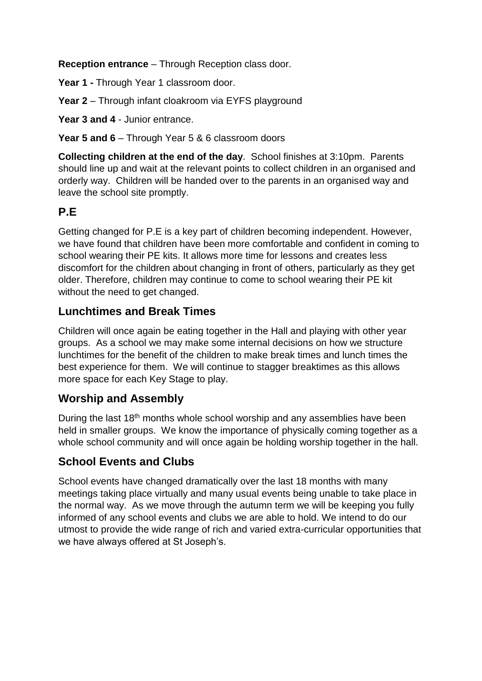**Reception entrance** – Through Reception class door.

Year 1 - Through Year 1 classroom door.

**Year 2** – Through infant cloakroom via EYFS playground

Year 3 and 4 - Junior entrance.

**Year 5 and 6** – Through Year 5 & 6 classroom doors

**Collecting children at the end of the day**. School finishes at 3:10pm. Parents should line up and wait at the relevant points to collect children in an organised and orderly way. Children will be handed over to the parents in an organised way and leave the school site promptly.

# **P.E**

Getting changed for P.E is a key part of children becoming independent. However, we have found that children have been more comfortable and confident in coming to school wearing their PE kits. It allows more time for lessons and creates less discomfort for the children about changing in front of others, particularly as they get older. Therefore, children may continue to come to school wearing their PE kit without the need to get changed.

### **Lunchtimes and Break Times**

Children will once again be eating together in the Hall and playing with other year groups. As a school we may make some internal decisions on how we structure lunchtimes for the benefit of the children to make break times and lunch times the best experience for them. We will continue to stagger breaktimes as this allows more space for each Key Stage to play.

#### **Worship and Assembly**

During the last 18<sup>th</sup> months whole school worship and any assemblies have been held in smaller groups. We know the importance of physically coming together as a whole school community and will once again be holding worship together in the hall.

### **School Events and Clubs**

School events have changed dramatically over the last 18 months with many meetings taking place virtually and many usual events being unable to take place in the normal way. As we move through the autumn term we will be keeping you fully informed of any school events and clubs we are able to hold. We intend to do our utmost to provide the wide range of rich and varied extra-curricular opportunities that we have always offered at St Joseph's.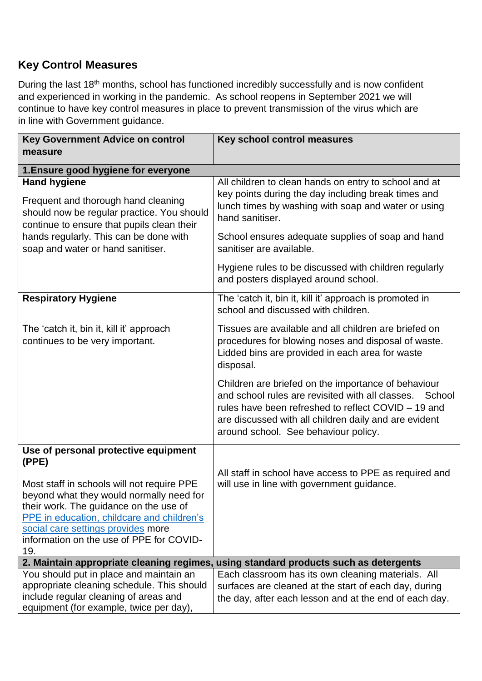#### **Key Control Measures**

During the last 18<sup>th</sup> months, school has functioned incredibly successfully and is now confident and experienced in working in the pandemic. As school reopens in September 2021 we will continue to have key control measures in place to prevent transmission of the virus which are in line with Government guidance.

| <b>Key Government Advice on control</b>                                                                                                                                                                                                                                          | Key school control measures                                                                                                                                                                                                                                               |
|----------------------------------------------------------------------------------------------------------------------------------------------------------------------------------------------------------------------------------------------------------------------------------|---------------------------------------------------------------------------------------------------------------------------------------------------------------------------------------------------------------------------------------------------------------------------|
| measure                                                                                                                                                                                                                                                                          |                                                                                                                                                                                                                                                                           |
| 1. Ensure good hygiene for everyone                                                                                                                                                                                                                                              |                                                                                                                                                                                                                                                                           |
| <b>Hand hygiene</b><br>Frequent and thorough hand cleaning<br>should now be regular practice. You should<br>continue to ensure that pupils clean their                                                                                                                           | All children to clean hands on entry to school and at<br>key points during the day including break times and<br>lunch times by washing with soap and water or using<br>hand sanitiser.                                                                                    |
| hands regularly. This can be done with<br>soap and water or hand sanitiser.                                                                                                                                                                                                      | School ensures adequate supplies of soap and hand<br>sanitiser are available.                                                                                                                                                                                             |
|                                                                                                                                                                                                                                                                                  | Hygiene rules to be discussed with children regularly<br>and posters displayed around school.                                                                                                                                                                             |
| <b>Respiratory Hygiene</b>                                                                                                                                                                                                                                                       | The 'catch it, bin it, kill it' approach is promoted in<br>school and discussed with children.                                                                                                                                                                            |
| The 'catch it, bin it, kill it' approach<br>continues to be very important.                                                                                                                                                                                                      | Tissues are available and all children are briefed on<br>procedures for blowing noses and disposal of waste.<br>Lidded bins are provided in each area for waste<br>disposal.                                                                                              |
|                                                                                                                                                                                                                                                                                  | Children are briefed on the importance of behaviour<br>and school rules are revisited with all classes.<br>School<br>rules have been refreshed to reflect COVID – 19 and<br>are discussed with all children daily and are evident<br>around school. See behaviour policy. |
| Use of personal protective equipment                                                                                                                                                                                                                                             |                                                                                                                                                                                                                                                                           |
| (PPE)<br>Most staff in schools will not require PPE<br>beyond what they would normally need for<br>their work. The guidance on the use of<br>PPE in education, childcare and children's<br>social care settings provides more<br>information on the use of PPE for COVID-<br>19. | All staff in school have access to PPE as required and<br>will use in line with government guidance.                                                                                                                                                                      |
|                                                                                                                                                                                                                                                                                  | 2. Maintain appropriate cleaning regimes, using standard products such as detergents                                                                                                                                                                                      |
| You should put in place and maintain an<br>appropriate cleaning schedule. This should<br>include regular cleaning of areas and<br>equipment (for example, twice per day),                                                                                                        | Each classroom has its own cleaning materials. All<br>surfaces are cleaned at the start of each day, during<br>the day, after each lesson and at the end of each day.                                                                                                     |